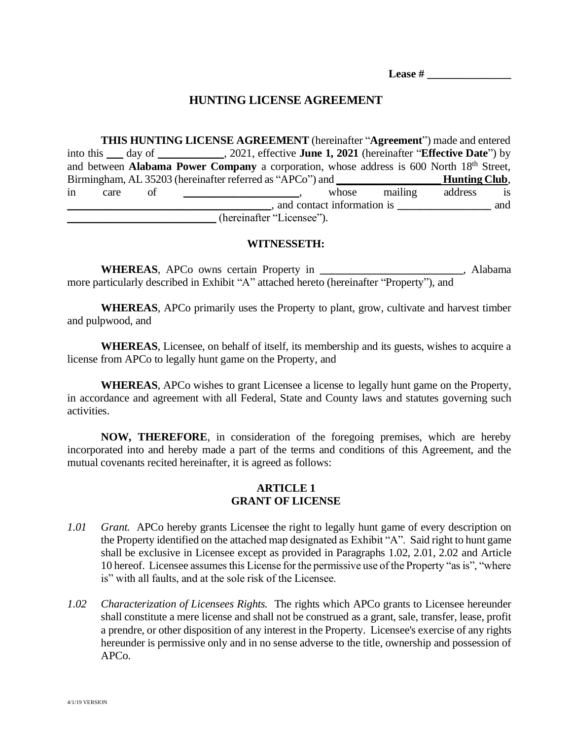**Lease # \_\_\_\_\_\_\_\_\_\_\_\_\_\_\_**

### **HUNTING LICENSE AGREEMENT**

**THIS HUNTING LICENSE AGREEMENT** (hereinafter "**Agreement**") made and entered into this \_\_\_ day of \_\_\_\_\_\_\_\_\_\_\_\_, 2021, effective **June 1, 2021** (hereinafter "**Effective Date**") by and between **Alabama Power Company** a corporation, whose address is 600 North 18<sup>th</sup> Street, Birmingham, AL 35203 (hereinafter referred as "APCo") and **Hunting Club**, in care of \_\_\_\_\_\_\_\_\_\_\_\_\_\_\_, whose mailing address is \_\_\_\_\_\_\_\_\_\_\_\_\_\_\_\_\_\_\_\_\_\_\_\_\_\_\_\_\_\_\_\_\_\_\_\_\_, and contact information is **\_\_\_\_\_\_\_\_\_\_\_\_\_\_\_\_\_** and (hereinafter "Licensee").

#### **WITNESSETH:**

**WHEREAS**, APCo owns certain Property in **\_\_\_\_\_\_\_\_\_\_\_\_\_\_\_\_\_\_\_\_\_\_\_\_\_\_**, Alabama more particularly described in Exhibit "A" attached hereto (hereinafter "Property"), and

**WHEREAS**, APCo primarily uses the Property to plant, grow, cultivate and harvest timber and pulpwood, and

**WHEREAS**, Licensee, on behalf of itself, its membership and its guests, wishes to acquire a license from APCo to legally hunt game on the Property, and

**WHEREAS**, APCo wishes to grant Licensee a license to legally hunt game on the Property, in accordance and agreement with all Federal, State and County laws and statutes governing such activities.

**NOW, THEREFORE**, in consideration of the foregoing premises, which are hereby incorporated into and hereby made a part of the terms and conditions of this Agreement, and the mutual covenants recited hereinafter, it is agreed as follows:

### **ARTICLE 1 GRANT OF LICENSE**

- *1.01 Grant.* APCo hereby grants Licensee the right to legally hunt game of every description on the Property identified on the attached map designated as Exhibit "A". Said right to hunt game shall be exclusive in Licensee except as provided in Paragraphs 1.02, 2.01, 2.02 and Article 10 hereof. Licensee assumes this License for the permissive use of the Property "as is", "where is" with all faults, and at the sole risk of the Licensee.
- *1.02 Characterization of Licensees Rights.* The rights which APCo grants to Licensee hereunder shall constitute a mere license and shall not be construed as a grant, sale, transfer, lease, profit a prendre, or other disposition of any interest in the Property. Licensee's exercise of any rights hereunder is permissive only and in no sense adverse to the title, ownership and possession of APCo.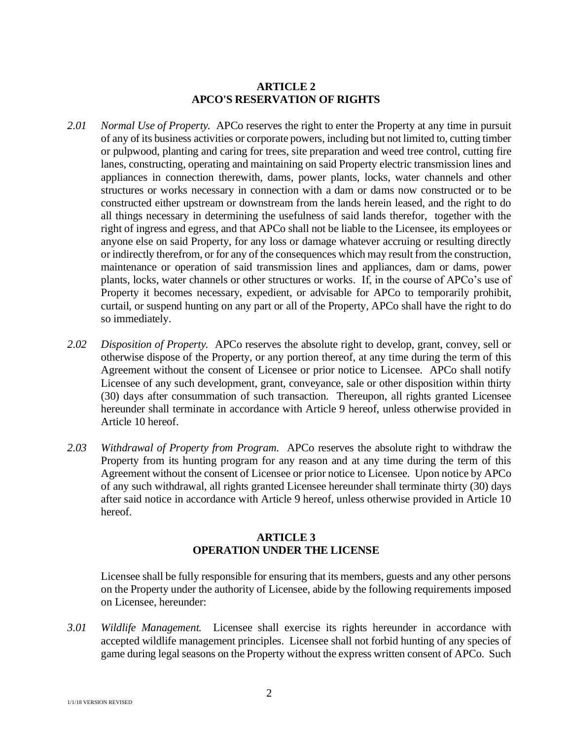# **ARTICLE 2 APCO'S RESERVATION OF RIGHTS**

- *2.01 Normal Use of Property.* APCo reserves the right to enter the Property at any time in pursuit of any of its business activities or corporate powers, including but not limited to, cutting timber or pulpwood, planting and caring for trees, site preparation and weed tree control, cutting fire lanes, constructing, operating and maintaining on said Property electric transmission lines and appliances in connection therewith, dams, power plants, locks, water channels and other structures or works necessary in connection with a dam or dams now constructed or to be constructed either upstream or downstream from the lands herein leased, and the right to do all things necessary in determining the usefulness of said lands therefor, together with the right of ingress and egress, and that APCo shall not be liable to the Licensee, its employees or anyone else on said Property, for any loss or damage whatever accruing or resulting directly or indirectly therefrom, or for any of the consequences which may result from the construction, maintenance or operation of said transmission lines and appliances, dam or dams, power plants, locks, water channels or other structures or works. If, in the course of APCo's use of Property it becomes necessary, expedient, or advisable for APCo to temporarily prohibit, curtail, or suspend hunting on any part or all of the Property, APCo shall have the right to do so immediately.
- *2.02 Disposition of Property.* APCo reserves the absolute right to develop, grant, convey, sell or otherwise dispose of the Property, or any portion thereof, at any time during the term of this Agreement without the consent of Licensee or prior notice to Licensee. APCo shall notify Licensee of any such development, grant, conveyance, sale or other disposition within thirty (30) days after consummation of such transaction. Thereupon, all rights granted Licensee hereunder shall terminate in accordance with Article 9 hereof, unless otherwise provided in Article 10 hereof.
- *2.03 Withdrawal of Property from Program.* APCo reserves the absolute right to withdraw the Property from its hunting program for any reason and at any time during the term of this Agreement without the consent of Licensee or prior notice to Licensee. Upon notice by APCo of any such withdrawal, all rights granted Licensee hereunder shall terminate thirty (30) days after said notice in accordance with Article 9 hereof, unless otherwise provided in Article 10 hereof.

### **ARTICLE 3 OPERATION UNDER THE LICENSE**

Licensee shall be fully responsible for ensuring that its members, guests and any other persons on the Property under the authority of Licensee, abide by the following requirements imposed on Licensee, hereunder:

*3.01 Wildlife Management.* Licensee shall exercise its rights hereunder in accordance with accepted wildlife management principles. Licensee shall not forbid hunting of any species of game during legal seasons on the Property without the express written consent of APCo. Such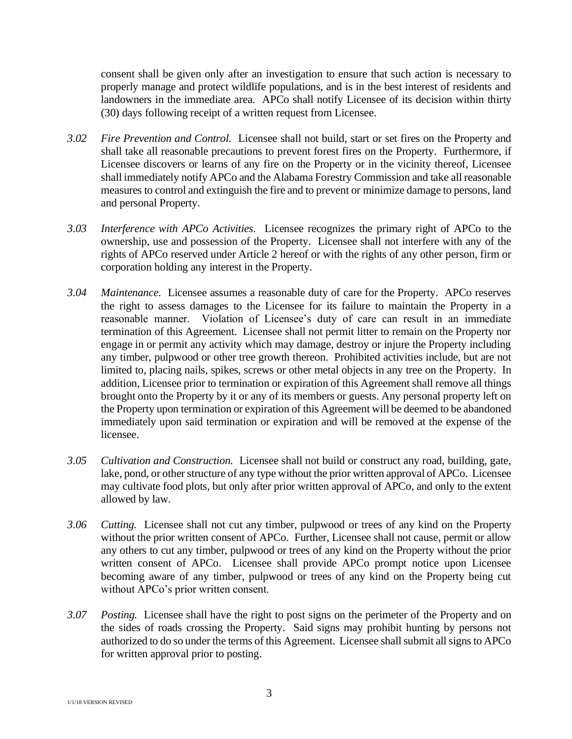consent shall be given only after an investigation to ensure that such action is necessary to properly manage and protect wildlife populations, and is in the best interest of residents and landowners in the immediate area. APCo shall notify Licensee of its decision within thirty (30) days following receipt of a written request from Licensee.

- *3.02 Fire Prevention and Control.* Licensee shall not build, start or set fires on the Property and shall take all reasonable precautions to prevent forest fires on the Property. Furthermore, if Licensee discovers or learns of any fire on the Property or in the vicinity thereof, Licensee shall immediately notify APCo and the Alabama Forestry Commission and take all reasonable measures to control and extinguish the fire and to prevent or minimize damage to persons, land and personal Property.
- *3.03 Interference with APCo Activities.* Licensee recognizes the primary right of APCo to the ownership, use and possession of the Property. Licensee shall not interfere with any of the rights of APCo reserved under Article 2 hereof or with the rights of any other person, firm or corporation holding any interest in the Property.
- *3.04 Maintenance.* Licensee assumes a reasonable duty of care for the Property. APCo reserves the right to assess damages to the Licensee for its failure to maintain the Property in a reasonable manner. Violation of Licensee's duty of care can result in an immediate termination of this Agreement. Licensee shall not permit litter to remain on the Property nor engage in or permit any activity which may damage, destroy or injure the Property including any timber, pulpwood or other tree growth thereon. Prohibited activities include, but are not limited to, placing nails, spikes, screws or other metal objects in any tree on the Property. In addition, Licensee prior to termination or expiration of this Agreement shall remove all things brought onto the Property by it or any of its members or guests. Any personal property left on the Property upon termination or expiration of this Agreement will be deemed to be abandoned immediately upon said termination or expiration and will be removed at the expense of the licensee.
- *3.05 Cultivation and Construction.* Licensee shall not build or construct any road, building, gate, lake, pond, or other structure of any type without the prior written approval of APCo. Licensee may cultivate food plots, but only after prior written approval of APCo, and only to the extent allowed by law.
- *3.06 Cutting.* Licensee shall not cut any timber, pulpwood or trees of any kind on the Property without the prior written consent of APCo. Further, Licensee shall not cause, permit or allow any others to cut any timber, pulpwood or trees of any kind on the Property without the prior written consent of APCo. Licensee shall provide APCo prompt notice upon Licensee becoming aware of any timber, pulpwood or trees of any kind on the Property being cut without APCo's prior written consent.
- *3.07 Posting.* Licensee shall have the right to post signs on the perimeter of the Property and on the sides of roads crossing the Property. Said signs may prohibit hunting by persons not authorized to do so under the terms of this Agreement. Licensee shall submit all signs to APCo for written approval prior to posting.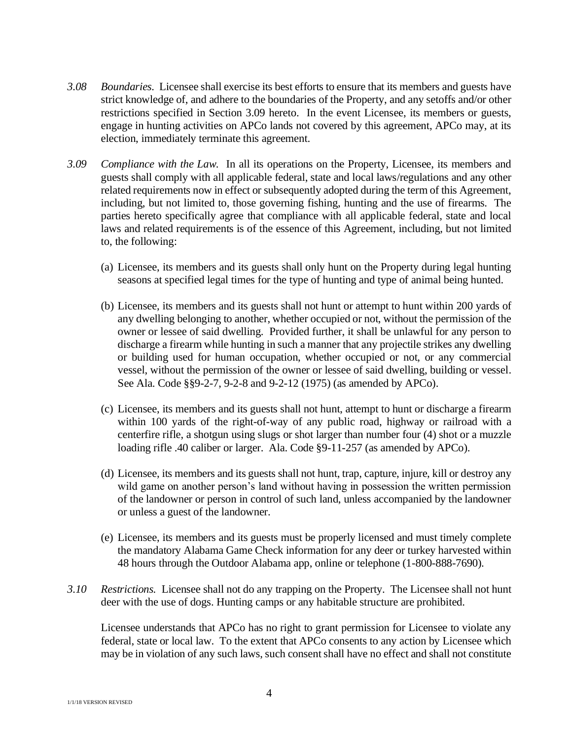- *3.08 Boundaries.* Licensee shall exercise its best efforts to ensure that its members and guests have strict knowledge of, and adhere to the boundaries of the Property, and any setoffs and/or other restrictions specified in Section 3.09 hereto. In the event Licensee, its members or guests, engage in hunting activities on APCo lands not covered by this agreement, APCo may, at its election, immediately terminate this agreement.
- *3.09 Compliance with the Law.* In all its operations on the Property, Licensee, its members and guests shall comply with all applicable federal, state and local laws/regulations and any other related requirements now in effect or subsequently adopted during the term of this Agreement, including, but not limited to, those governing fishing, hunting and the use of firearms. The parties hereto specifically agree that compliance with all applicable federal, state and local laws and related requirements is of the essence of this Agreement, including, but not limited to, the following:
	- (a) Licensee, its members and its guests shall only hunt on the Property during legal hunting seasons at specified legal times for the type of hunting and type of animal being hunted.
	- (b) Licensee, its members and its guests shall not hunt or attempt to hunt within 200 yards of any dwelling belonging to another, whether occupied or not, without the permission of the owner or lessee of said dwelling. Provided further, it shall be unlawful for any person to discharge a firearm while hunting in such a manner that any projectile strikes any dwelling or building used for human occupation, whether occupied or not, or any commercial vessel, without the permission of the owner or lessee of said dwelling, building or vessel. See Ala. Code §§9-2-7, 9-2-8 and 9-2-12 (1975) (as amended by APCo).
	- (c) Licensee, its members and its guests shall not hunt, attempt to hunt or discharge a firearm within 100 yards of the right-of-way of any public road, highway or railroad with a centerfire rifle, a shotgun using slugs or shot larger than number four (4) shot or a muzzle loading rifle .40 caliber or larger. Ala. Code §9-11-257 (as amended by APCo).
	- (d) Licensee, its members and its guests shall not hunt, trap, capture, injure, kill or destroy any wild game on another person's land without having in possession the written permission of the landowner or person in control of such land, unless accompanied by the landowner or unless a guest of the landowner.
	- (e) Licensee, its members and its guests must be properly licensed and must timely complete the mandatory Alabama Game Check information for any deer or turkey harvested within 48 hours through the Outdoor Alabama app, online or telephone (1-800-888-7690).
- *3.10 Restrictions.* Licensee shall not do any trapping on the Property. The Licensee shall not hunt deer with the use of dogs. Hunting camps or any habitable structure are prohibited.

Licensee understands that APCo has no right to grant permission for Licensee to violate any federal, state or local law. To the extent that APCo consents to any action by Licensee which may be in violation of any such laws, such consent shall have no effect and shall not constitute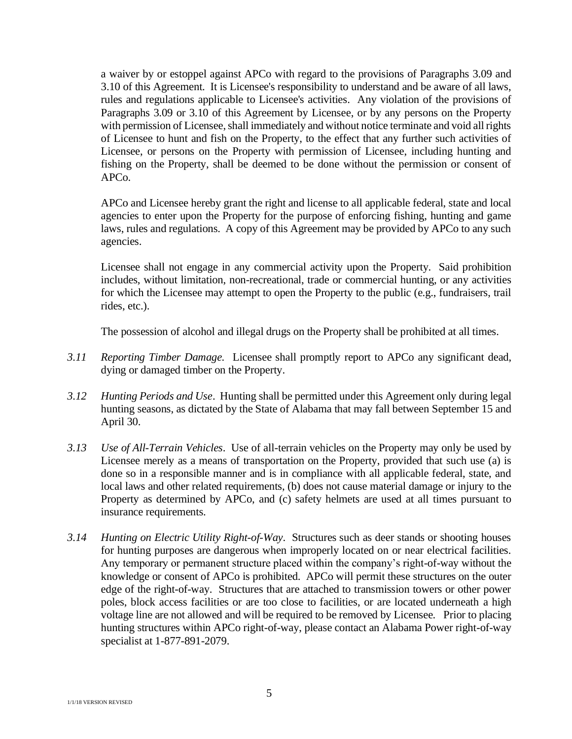a waiver by or estoppel against APCo with regard to the provisions of Paragraphs 3.09 and 3.10 of this Agreement. It is Licensee's responsibility to understand and be aware of all laws, rules and regulations applicable to Licensee's activities. Any violation of the provisions of Paragraphs 3.09 or 3.10 of this Agreement by Licensee, or by any persons on the Property with permission of Licensee, shall immediately and without notice terminate and void all rights of Licensee to hunt and fish on the Property, to the effect that any further such activities of Licensee, or persons on the Property with permission of Licensee, including hunting and fishing on the Property, shall be deemed to be done without the permission or consent of APCo.

APCo and Licensee hereby grant the right and license to all applicable federal, state and local agencies to enter upon the Property for the purpose of enforcing fishing, hunting and game laws, rules and regulations. A copy of this Agreement may be provided by APCo to any such agencies.

Licensee shall not engage in any commercial activity upon the Property. Said prohibition includes, without limitation, non-recreational, trade or commercial hunting, or any activities for which the Licensee may attempt to open the Property to the public (e.g., fundraisers, trail rides, etc.).

The possession of alcohol and illegal drugs on the Property shall be prohibited at all times.

- *3.11 Reporting Timber Damage.* Licensee shall promptly report to APCo any significant dead, dying or damaged timber on the Property.
- *3.12 Hunting Periods and Use*. Hunting shall be permitted under this Agreement only during legal hunting seasons, as dictated by the State of Alabama that may fall between September 15 and April 30.
- *3.13 Use of All-Terrain Vehicles*. Use of all-terrain vehicles on the Property may only be used by Licensee merely as a means of transportation on the Property, provided that such use (a) is done so in a responsible manner and is in compliance with all applicable federal, state, and local laws and other related requirements, (b) does not cause material damage or injury to the Property as determined by APCo, and (c) safety helmets are used at all times pursuant to insurance requirements.
- *3.14 Hunting on Electric Utility Right-of-Way*. Structures such as deer stands or shooting houses for hunting purposes are dangerous when improperly located on or near electrical facilities. Any temporary or permanent structure placed within the company's right-of-way without the knowledge or consent of APCo is prohibited. APCo will permit these structures on the outer edge of the right-of-way. Structures that are attached to transmission towers or other power poles, block access facilities or are too close to facilities, or are located underneath a high voltage line are not allowed and will be required to be removed by Licensee. Prior to placing hunting structures within APCo right-of-way, please contact an Alabama Power right-of-way specialist at 1-877-891-2079.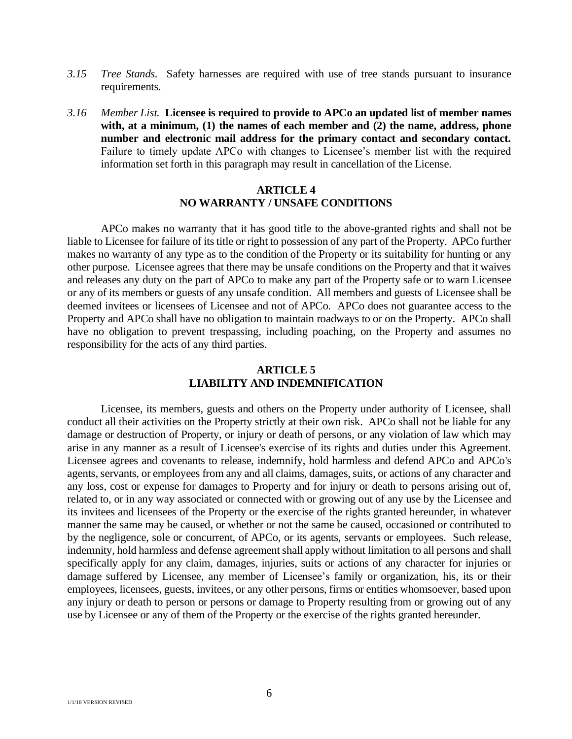- *3.15 Tree Stands.* Safety harnesses are required with use of tree stands pursuant to insurance requirements.
- *3.16 Member List.* **Licensee is required to provide to APCo an updated list of member names with, at a minimum, (1) the names of each member and (2) the name, address, phone number and electronic mail address for the primary contact and secondary contact.** Failure to timely update APCo with changes to Licensee's member list with the required information set forth in this paragraph may result in cancellation of the License.

### **ARTICLE 4 NO WARRANTY / UNSAFE CONDITIONS**

APCo makes no warranty that it has good title to the above-granted rights and shall not be liable to Licensee for failure of its title or right to possession of any part of the Property. APCo further makes no warranty of any type as to the condition of the Property or its suitability for hunting or any other purpose. Licensee agrees that there may be unsafe conditions on the Property and that it waives and releases any duty on the part of APCo to make any part of the Property safe or to warn Licensee or any of its members or guests of any unsafe condition. All members and guests of Licensee shall be deemed invitees or licensees of Licensee and not of APCo. APCo does not guarantee access to the Property and APCo shall have no obligation to maintain roadways to or on the Property. APCo shall have no obligation to prevent trespassing, including poaching, on the Property and assumes no responsibility for the acts of any third parties.

# **ARTICLE 5 LIABILITY AND INDEMNIFICATION**

Licensee, its members, guests and others on the Property under authority of Licensee, shall conduct all their activities on the Property strictly at their own risk. APCo shall not be liable for any damage or destruction of Property, or injury or death of persons, or any violation of law which may arise in any manner as a result of Licensee's exercise of its rights and duties under this Agreement. Licensee agrees and covenants to release, indemnify, hold harmless and defend APCo and APCo's agents, servants, or employees from any and all claims, damages, suits, or actions of any character and any loss, cost or expense for damages to Property and for injury or death to persons arising out of, related to, or in any way associated or connected with or growing out of any use by the Licensee and its invitees and licensees of the Property or the exercise of the rights granted hereunder, in whatever manner the same may be caused, or whether or not the same be caused, occasioned or contributed to by the negligence, sole or concurrent, of APCo, or its agents, servants or employees. Such release, indemnity, hold harmless and defense agreement shall apply without limitation to all persons and shall specifically apply for any claim, damages, injuries, suits or actions of any character for injuries or damage suffered by Licensee, any member of Licensee's family or organization, his, its or their employees, licensees, guests, invitees, or any other persons, firms or entities whomsoever, based upon any injury or death to person or persons or damage to Property resulting from or growing out of any use by Licensee or any of them of the Property or the exercise of the rights granted hereunder.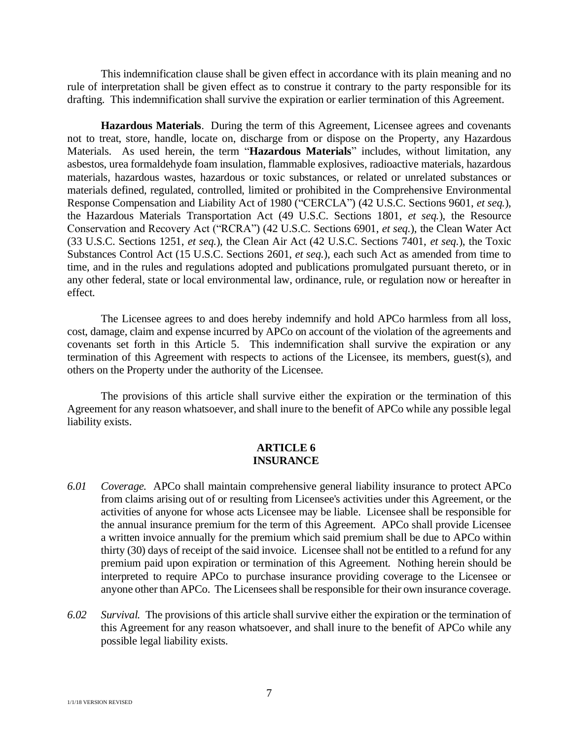This indemnification clause shall be given effect in accordance with its plain meaning and no rule of interpretation shall be given effect as to construe it contrary to the party responsible for its drafting. This indemnification shall survive the expiration or earlier termination of this Agreement.

**Hazardous Materials**. During the term of this Agreement, Licensee agrees and covenants not to treat, store, handle, locate on, discharge from or dispose on the Property, any Hazardous Materials. As used herein, the term "**Hazardous Materials**" includes, without limitation, any asbestos, urea formaldehyde foam insulation, flammable explosives, radioactive materials, hazardous materials, hazardous wastes, hazardous or toxic substances, or related or unrelated substances or materials defined, regulated, controlled, limited or prohibited in the Comprehensive Environmental Response Compensation and Liability Act of 1980 ("CERCLA") (42 U.S.C. Sections 9601, *et seq.*), the Hazardous Materials Transportation Act (49 U.S.C. Sections 1801, *et seq.*), the Resource Conservation and Recovery Act ("RCRA") (42 U.S.C. Sections 6901, *et seq.*), the Clean Water Act (33 U.S.C. Sections 1251, *et seq.*), the Clean Air Act (42 U.S.C. Sections 7401, *et seq.*), the Toxic Substances Control Act (15 U.S.C. Sections 2601, *et seq.*), each such Act as amended from time to time, and in the rules and regulations adopted and publications promulgated pursuant thereto, or in any other federal, state or local environmental law, ordinance, rule, or regulation now or hereafter in effect.

The Licensee agrees to and does hereby indemnify and hold APCo harmless from all loss, cost, damage, claim and expense incurred by APCo on account of the violation of the agreements and covenants set forth in this Article 5. This indemnification shall survive the expiration or any termination of this Agreement with respects to actions of the Licensee, its members, guest(s), and others on the Property under the authority of the Licensee.

The provisions of this article shall survive either the expiration or the termination of this Agreement for any reason whatsoever, and shall inure to the benefit of APCo while any possible legal liability exists.

#### **ARTICLE 6 INSURANCE**

- *6.01 Coverage.* APCo shall maintain comprehensive general liability insurance to protect APCo from claims arising out of or resulting from Licensee's activities under this Agreement, or the activities of anyone for whose acts Licensee may be liable. Licensee shall be responsible for the annual insurance premium for the term of this Agreement. APCo shall provide Licensee a written invoice annually for the premium which said premium shall be due to APCo within thirty (30) days of receipt of the said invoice. Licensee shall not be entitled to a refund for any premium paid upon expiration or termination of this Agreement. Nothing herein should be interpreted to require APCo to purchase insurance providing coverage to the Licensee or anyone other than APCo. The Licensees shall be responsible for their own insurance coverage.
- *6.02 Survival.* The provisions of this article shall survive either the expiration or the termination of this Agreement for any reason whatsoever, and shall inure to the benefit of APCo while any possible legal liability exists.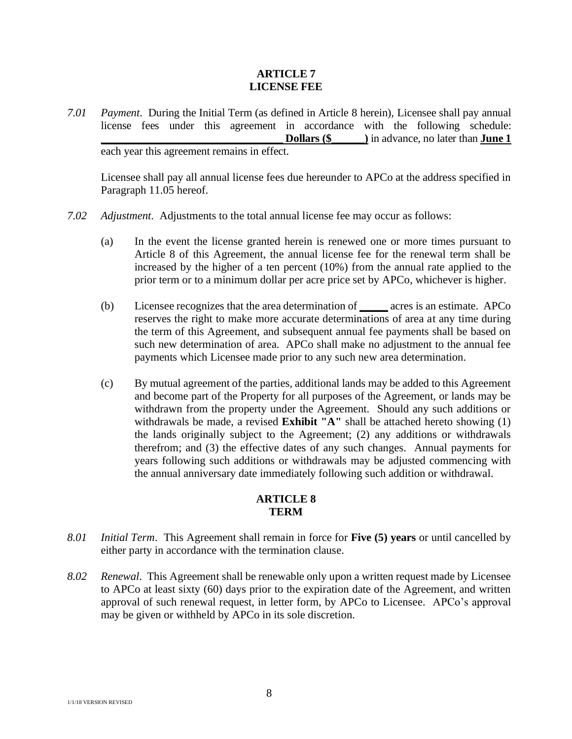### **ARTICLE 7 LICENSE FEE**

*7.01 Payment*. During the Initial Term (as defined in Article 8 herein), Licensee shall pay annual license fees under this agreement in accordance with the following schedule: **Dollars (\$\_\_\_\_\_)** in advance, no later than **June 1** each year this agreement remains in effect.

Licensee shall pay all annual license fees due hereunder to APCo at the address specified in Paragraph 11.05 hereof.

- *7.02 Adjustment*. Adjustments to the total annual license fee may occur as follows:
	- (a) In the event the license granted herein is renewed one or more times pursuant to Article 8 of this Agreement, the annual license fee for the renewal term shall be increased by the higher of a ten percent (10%) from the annual rate applied to the prior term or to a minimum dollar per acre price set by APCo, whichever is higher.
	- (b) Licensee recognizes that the area determination of **\_\_\_\_\_** acres is an estimate. APCo reserves the right to make more accurate determinations of area at any time during the term of this Agreement, and subsequent annual fee payments shall be based on such new determination of area. APCo shall make no adjustment to the annual fee payments which Licensee made prior to any such new area determination.
	- (c) By mutual agreement of the parties, additional lands may be added to this Agreement and become part of the Property for all purposes of the Agreement, or lands may be withdrawn from the property under the Agreement. Should any such additions or withdrawals be made, a revised **Exhibit "A"** shall be attached hereto showing (1) the lands originally subject to the Agreement; (2) any additions or withdrawals therefrom; and (3) the effective dates of any such changes. Annual payments for years following such additions or withdrawals may be adjusted commencing with the annual anniversary date immediately following such addition or withdrawal.

# **ARTICLE 8 TERM**

- *8.01 Initial Term*. This Agreement shall remain in force for **Five (5) years** or until cancelled by either party in accordance with the termination clause.
- *8.02 Renewal*. This Agreement shall be renewable only upon a written request made by Licensee to APCo at least sixty (60) days prior to the expiration date of the Agreement, and written approval of such renewal request, in letter form, by APCo to Licensee. APCo's approval may be given or withheld by APCo in its sole discretion.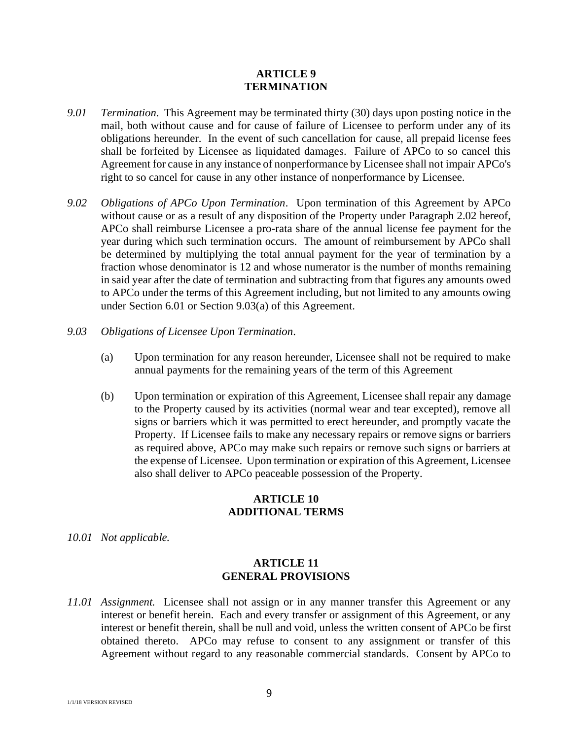#### **ARTICLE 9 TERMINATION**

- *9.01 Termination*. This Agreement may be terminated thirty (30) days upon posting notice in the mail, both without cause and for cause of failure of Licensee to perform under any of its obligations hereunder. In the event of such cancellation for cause, all prepaid license fees shall be forfeited by Licensee as liquidated damages. Failure of APCo to so cancel this Agreement for cause in any instance of nonperformance by Licensee shall not impair APCo's right to so cancel for cause in any other instance of nonperformance by Licensee.
- *9.02 Obligations of APCo Upon Termination*. Upon termination of this Agreement by APCo without cause or as a result of any disposition of the Property under Paragraph 2.02 hereof, APCo shall reimburse Licensee a pro-rata share of the annual license fee payment for the year during which such termination occurs. The amount of reimbursement by APCo shall be determined by multiplying the total annual payment for the year of termination by a fraction whose denominator is 12 and whose numerator is the number of months remaining in said year after the date of termination and subtracting from that figures any amounts owed to APCo under the terms of this Agreement including, but not limited to any amounts owing under Section 6.01 or Section 9.03(a) of this Agreement.
- *9.03 Obligations of Licensee Upon Termination*.
	- (a) Upon termination for any reason hereunder, Licensee shall not be required to make annual payments for the remaining years of the term of this Agreement
	- (b) Upon termination or expiration of this Agreement, Licensee shall repair any damage to the Property caused by its activities (normal wear and tear excepted), remove all signs or barriers which it was permitted to erect hereunder, and promptly vacate the Property. If Licensee fails to make any necessary repairs or remove signs or barriers as required above, APCo may make such repairs or remove such signs or barriers at the expense of Licensee. Upon termination or expiration of this Agreement, Licensee also shall deliver to APCo peaceable possession of the Property.

### **ARTICLE 10 ADDITIONAL TERMS**

*10.01 Not applicable.*

# **ARTICLE 11 GENERAL PROVISIONS**

*11.01 Assignment.* Licensee shall not assign or in any manner transfer this Agreement or any interest or benefit herein. Each and every transfer or assignment of this Agreement, or any interest or benefit therein, shall be null and void, unless the written consent of APCo be first obtained thereto. APCo may refuse to consent to any assignment or transfer of this Agreement without regard to any reasonable commercial standards. Consent by APCo to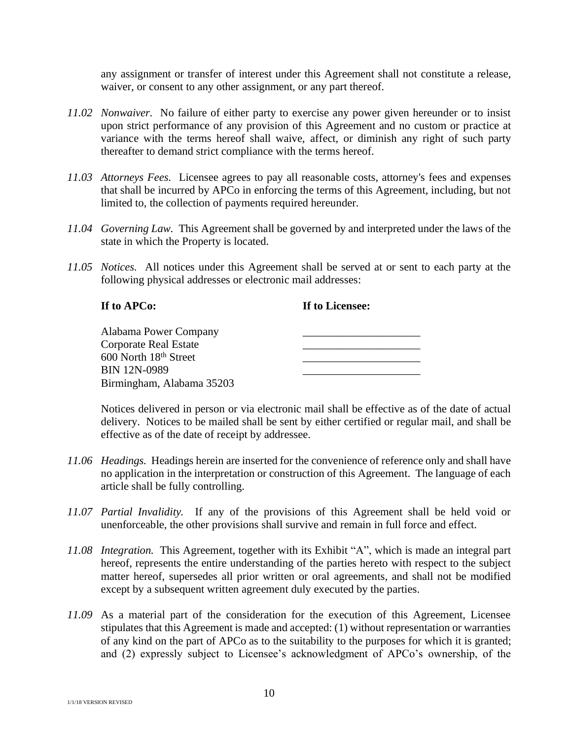any assignment or transfer of interest under this Agreement shall not constitute a release, waiver, or consent to any other assignment, or any part thereof.

- *11.02 Nonwaiver.* No failure of either party to exercise any power given hereunder or to insist upon strict performance of any provision of this Agreement and no custom or practice at variance with the terms hereof shall waive, affect, or diminish any right of such party thereafter to demand strict compliance with the terms hereof.
- *11.03 Attorneys Fees.* Licensee agrees to pay all reasonable costs, attorney's fees and expenses that shall be incurred by APCo in enforcing the terms of this Agreement, including, but not limited to, the collection of payments required hereunder.
- *11.04 Governing Law.* This Agreement shall be governed by and interpreted under the laws of the state in which the Property is located.
- *11.05 Notices.* All notices under this Agreement shall be served at or sent to each party at the following physical addresses or electronic mail addresses:

## **If to APCo: If to Licensee:**

| Alabama Power Company             |  |
|-----------------------------------|--|
| Corporate Real Estate             |  |
| 600 North 18 <sup>th</sup> Street |  |
| <b>BIN 12N-0989</b>               |  |
| Birmingham, Alabama 35203         |  |

Notices delivered in person or via electronic mail shall be effective as of the date of actual delivery. Notices to be mailed shall be sent by either certified or regular mail, and shall be effective as of the date of receipt by addressee.

- *11.06 Headings.* Headings herein are inserted for the convenience of reference only and shall have no application in the interpretation or construction of this Agreement. The language of each article shall be fully controlling.
- *11.07 Partial Invalidity.* If any of the provisions of this Agreement shall be held void or unenforceable, the other provisions shall survive and remain in full force and effect.
- *11.08 Integration.* This Agreement, together with its Exhibit "A", which is made an integral part hereof, represents the entire understanding of the parties hereto with respect to the subject matter hereof, supersedes all prior written or oral agreements, and shall not be modified except by a subsequent written agreement duly executed by the parties.
- *11.09* As a material part of the consideration for the execution of this Agreement, Licensee stipulates that this Agreement is made and accepted: (1) without representation or warranties of any kind on the part of APCo as to the suitability to the purposes for which it is granted; and (2) expressly subject to Licensee's acknowledgment of APCo's ownership, of the